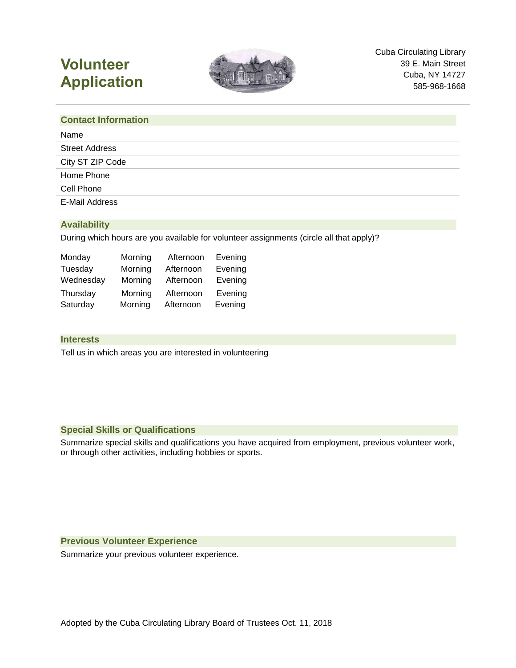# **Volunteer Application**



#### **Contact Information**

## **Availability**

During which hours are you available for volunteer assignments (circle all that apply)?

| Monday    | Morning | Afternoon | Evening |
|-----------|---------|-----------|---------|
| Tuesday   | Morning | Afternoon | Evening |
| Wednesday | Morning | Afternoon | Evening |
| Thursday  | Morning | Afternoon | Evening |
| Saturday  | Morning | Afternoon | Evening |

#### **Interests**

Tell us in which areas you are interested in volunteering

#### **Special Skills or Qualifications**

Summarize special skills and qualifications you have acquired from employment, previous volunteer work, or through other activities, including hobbies or sports.

#### **Previous Volunteer Experience**

Summarize your previous volunteer experience.